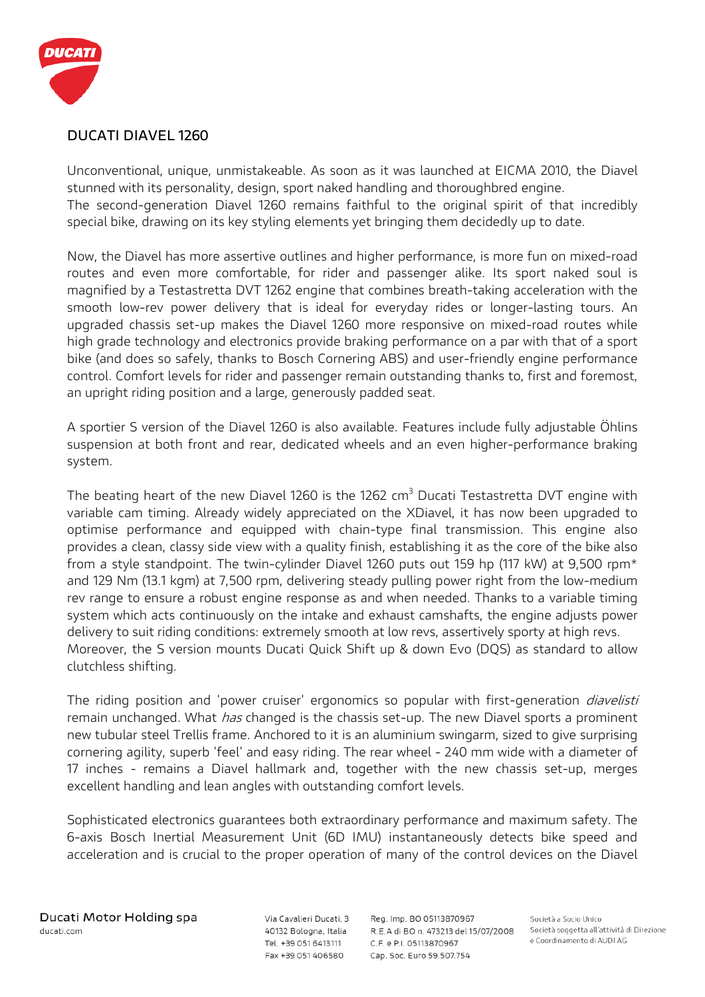

## **DUCATI DIAVEL 1260**

Unconventional, unique, unmistakeable. As soon as it was launched at EICMA 2010, the Diavel stunned with its personality, design, sport naked handling and thoroughbred engine. The second-generation Diavel 1260 remains faithful to the original spirit of that incredibly special bike, drawing on its key styling elements yet bringing them decidedly up to date.

Now, the Diavel has more assertive outlines and higher performance, is more fun on mixed-road routes and even more comfortable, for rider and passenger alike. Its sport naked soul is magnified by a Testastretta DVT 1262 engine that combines breath-taking acceleration with the smooth low-rev power delivery that is ideal for everyday rides or longer-lasting tours. An upgraded chassis set-up makes the Diavel 1260 more responsive on mixed-road routes while high grade technology and electronics provide braking performance on a par with that of a sport bike (and does so safely, thanks to Bosch Cornering ABS) and user-friendly engine performance control. Comfort levels for rider and passenger remain outstanding thanks to, first and foremost, an upright riding position and a large, generously padded seat.

A sportier S version of the Diavel 1260 is also available. Features include fully adjustable Öhlins suspension at both front and rear, dedicated wheels and an even higher-performance braking system.

The beating heart of the new Diavel 1260 is the 1262  $cm<sup>3</sup>$  Ducati Testastretta DVT engine with variable cam timing. Already widely appreciated on the XDiavel, it has now been upgraded to optimise performance and equipped with chain-type final transmission. This engine also provides a clean, classy side view with a quality finish, establishing it as the core of the bike also from a style standpoint. The twin-cylinder Diavel 1260 puts out 159 hp (117 kW) at 9,500 rpm\* and 129 Nm (13.1 kgm) at 7,500 rpm, delivering steady pulling power right from the low-medium rev range to ensure a robust engine response as and when needed. Thanks to a variable timing system which acts continuously on the intake and exhaust camshafts, the engine adjusts power delivery to suit riding conditions: extremely smooth at low revs, assertively sporty at high revs. Moreover, the S version mounts Ducati Quick Shift up & down Evo (DQS) as standard to allow clutchless shifting.

The riding position and 'power cruiser' ergonomics so popular with first-generation *diavelisti* remain unchanged. What *has* changed is the chassis set-up. The new Diavel sports a prominent new tubular steel Trellis frame. Anchored to it is an aluminium swingarm, sized to give surprising cornering agility, superb 'feel' and easy riding. The rear wheel - 240 mm wide with a diameter of 17 inches - remains a Diavel hallmark and, together with the new chassis set-up, merges excellent handling and lean angles with outstanding comfort levels.

Sophisticated electronics guarantees both extraordinary performance and maximum safety. The 6-axis Bosch Inertial Measurement Unit (6D IMU) instantaneously detects bike speed and acceleration and is crucial to the proper operation of many of the control devices on the Diavel

Via Cavalieri Ducati, 3 40132 Bologna, Italia Tel. +39 051 6413111 Fax +39 051 406580

Reg. Imp. BO 05113870967 R.E.A di BO n. 473213 del 15/07/2008 C.F. e P.I. 05113870967 Cap. Soc. Euro 59.507.754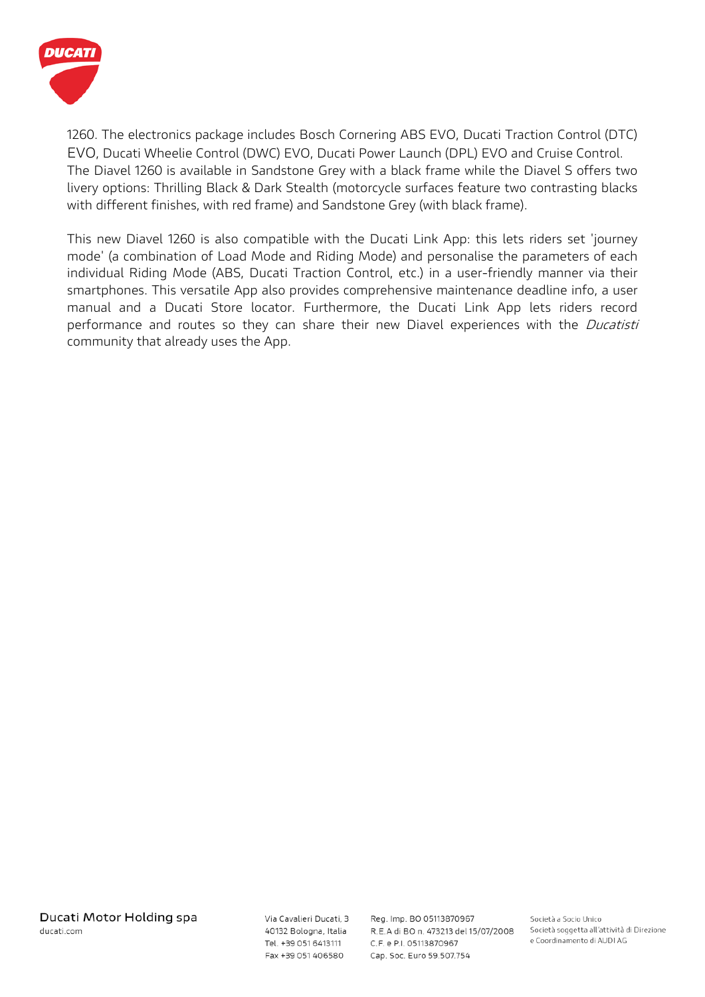

1260. The electronics package includes Bosch Cornering ABS EVO, Ducati Traction Control (DTC) EVO, Ducati Wheelie Control (DWC) EVO, Ducati Power Launch (DPL) EVO and Cruise Control. The Diavel 1260 is available in Sandstone Grey with a black frame while the Diavel S offers two livery options: Thrilling Black & Dark Stealth (motorcycle surfaces feature two contrasting blacks with different finishes, with red frame) and Sandstone Grey (with black frame).

This new Diavel 1260 is also compatible with the Ducati Link App: this lets riders set 'journey mode' (a combination of Load Mode and Riding Mode) and personalise the parameters of each individual Riding Mode (ABS, Ducati Traction Control, etc.) in a user-friendly manner via their smartphones. This versatile App also provides comprehensive maintenance deadline info, a user manual and a Ducati Store locator. Furthermore, the Ducati Link App lets riders record performance and routes so they can share their new Diavel experiences with the *Ducatisti* community that already uses the App.

Via Cavalieri Ducati, 3 40132 Bologna, Italia Tel. +39 051 6413111 Fax +39 051 406580

Reg. Imp. BO 05113870967 R.E.A di BO n. 473213 del 15/07/2008 C.F. e P.I. 05113870967 Cap. Soc. Euro 59.507.754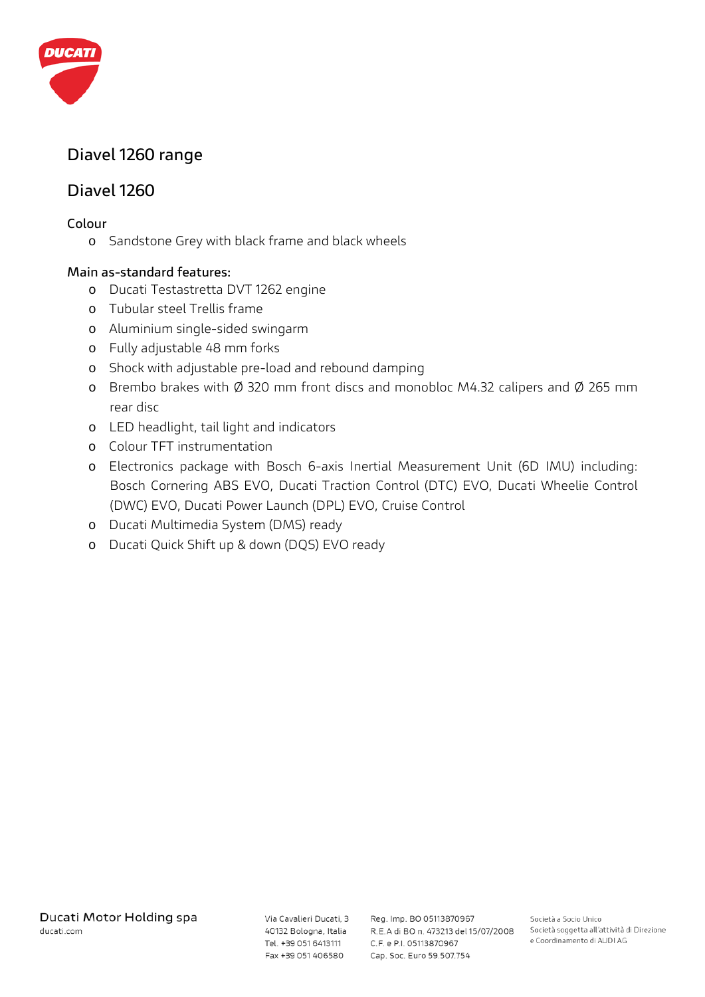

# **Diavel 1260 range**

# **Diavel 1260**

### **Colour**

o Sandstone Grey with black frame and black wheels

## **Main as-standard features:**

- o Ducati Testastretta DVT 1262 engine
- o Tubular steel Trellis frame
- o Aluminium single-sided swingarm
- o Fully adjustable 48 mm forks
- o Shock with adjustable pre-load and rebound damping
- o Brembo brakes with Ø 320 mm front discs and monobloc M4.32 calipers and Ø 265 mm rear disc
- o LED headlight, tail light and indicators
- o Colour TFT instrumentation
- o Electronics package with Bosch 6-axis Inertial Measurement Unit (6D IMU) including: Bosch Cornering ABS EVO, Ducati Traction Control (DTC) EVO, Ducati Wheelie Control (DWC) EVO, Ducati Power Launch (DPL) EVO, Cruise Control
- o Ducati Multimedia System (DMS) ready
- o Ducati Quick Shift up & down (DQS) EVO ready

Via Cavalieri Ducati, 3 Tel. +39 051 6413111 Fax +39 051 406580

Reg. Imp. BO 05113870967 40132 Bologna, Italia R.E.A di BO n. 473213 del 15/07/2008 C.F. e P.I. 05113870967 Cap. Soc. Euro 59.507.754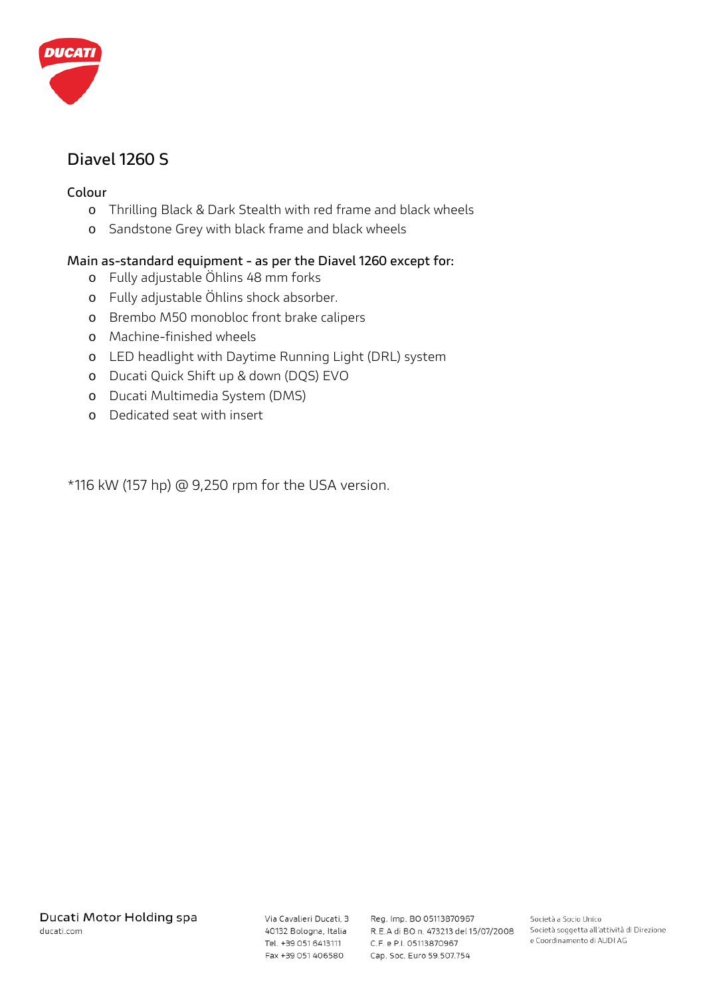

# **Diavel 1260 S**

### **Colour**

- o Thrilling Black & Dark Stealth with red frame and black wheels
- o Sandstone Grey with black frame and black wheels

## **Main as-standard equipment - as per the Diavel 1260 except for:**

- o Fully adjustable Öhlins 48 mm forks
- o Fully adjustable Öhlins shock absorber.
- o Brembo M50 monobloc front brake calipers
- o Machine-finished wheels
- o LED headlight with Daytime Running Light (DRL) system
- o Ducati Quick Shift up & down (DQS) EVO
- o Ducati Multimedia System (DMS)
- o Dedicated seat with insert

\*116 kW (157 hp) @ 9,250 rpm for the USA version.

Tel. +39 051 6413111 Fax +39 051 406580

Via Cavalieri Ducati, 3 Reg. Imp. BO 05113870967 40132 Bologna, Italia R.E.A di BO n. 473213 del 15/07/2008 C.F. e P.I. 05113870967 Cap. Soc. Euro 59.507.754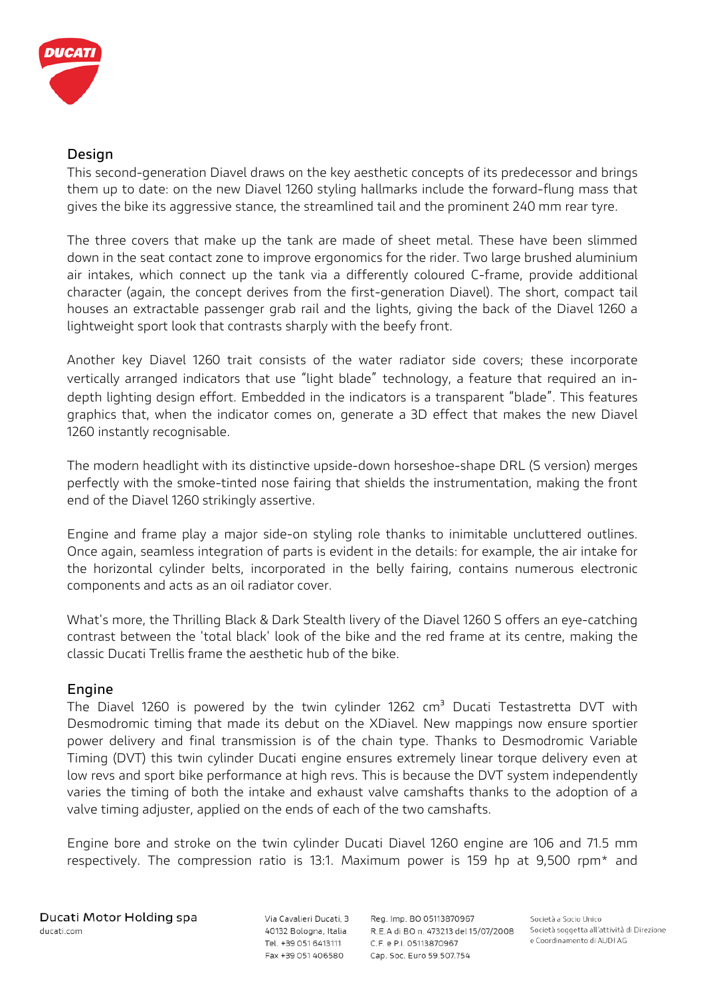

### **Design**

This second-generation Diavel draws on the key aesthetic concepts of its predecessor and brings them up to date: on the new Diavel 1260 styling hallmarks include the forward-flung mass that gives the bike its aggressive stance, the streamlined tail and the prominent 240 mm rear tyre.

The three covers that make up the tank are made of sheet metal. These have been slimmed down in the seat contact zone to improve ergonomics for the rider. Two large brushed aluminium air intakes, which connect up the tank via a differently coloured C-frame, provide additional character (again, the concept derives from the first-generation Diavel). The short, compact tail houses an extractable passenger grab rail and the lights, giving the back of the Diavel 1260 a lightweight sport look that contrasts sharply with the beefy front.

Another key Diavel 1260 trait consists of the water radiator side covers; these incorporate vertically arranged indicators that use "light blade" technology, a feature that required an indepth lighting design effort. Embedded in the indicators is a transparent "blade". This features graphics that, when the indicator comes on, generate a 3D effect that makes the new Diavel 1260 instantly recognisable.

The modern headlight with its distinctive upside-down horseshoe-shape DRL (S version) merges perfectly with the smoke-tinted nose fairing that shields the instrumentation, making the front end of the Diavel 1260 strikingly assertive.

Engine and frame play a major side-on styling role thanks to inimitable uncluttered outlines. Once again, seamless integration of parts is evident in the details: for example, the air intake for the horizontal cylinder belts, incorporated in the belly fairing, contains numerous electronic components and acts as an oil radiator cover.

What's more, the Thrilling Black & Dark Stealth livery of the Diavel 1260 S offers an eye-catching contrast between the 'total black' look of the bike and the red frame at its centre, making the classic Ducati Trellis frame the aesthetic hub of the bike.

### **Engine**

The Diavel 1260 is powered by the twin cylinder 1262  $cm<sup>3</sup>$  Ducati Testastretta DVT with Desmodromic timing that made its debut on the XDiavel. New mappings now ensure sportier power delivery and final transmission is of the chain type. Thanks to Desmodromic Variable Timing (DVT) this twin cylinder Ducati engine ensures extremely linear torque delivery even at low revs and sport bike performance at high revs. This is because the DVT system independently varies the timing of both the intake and exhaust valve camshafts thanks to the adoption of a valve timing adjuster, applied on the ends of each of the two camshafts.

Engine bore and stroke on the twin cylinder Ducati Diavel 1260 engine are 106 and 71.5 mm respectively. The compression ratio is 13:1. Maximum power is 159 hp at 9,500 rpm\* and

Via Cavalieri Ducati, 3 40132 Bologna, Italia Tel. +39 051 6413111 Fax +39 051 406580

Reg. Imp. BO 05113870967 R.E.A di BO n. 473213 del 15/07/2008 C.F. e P.I. 05113870967 Cap. Soc. Euro 59.507.754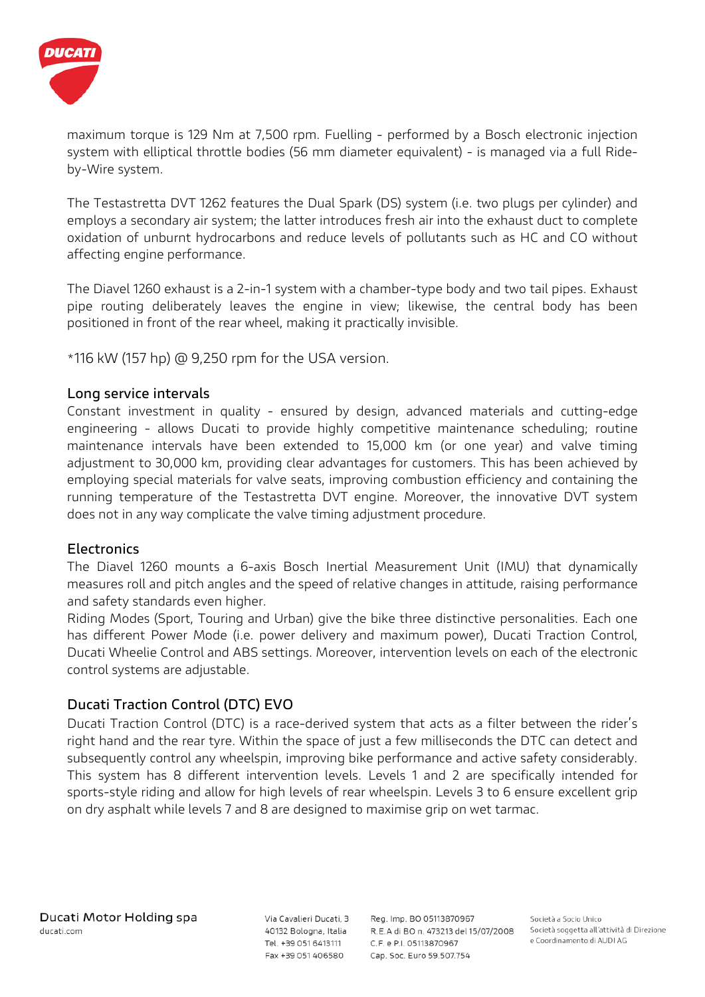

maximum torque is 129 Nm at 7,500 rpm. Fuelling - performed by a Bosch electronic injection system with elliptical throttle bodies (56 mm diameter equivalent) - is managed via a full Rideby-Wire system.

The Testastretta DVT 1262 features the Dual Spark (DS) system (i.e. two plugs per cylinder) and employs a secondary air system; the latter introduces fresh air into the exhaust duct to complete oxidation of unburnt hydrocarbons and reduce levels of pollutants such as HC and CO without affecting engine performance.

The Diavel 1260 exhaust is a 2-in-1 system with a chamber-type body and two tail pipes. Exhaust pipe routing deliberately leaves the engine in view; likewise, the central body has been positioned in front of the rear wheel, making it practically invisible.

\*116 kW (157 hp) @ 9,250 rpm for the USA version.

## **Long service intervals**

Constant investment in quality - ensured by design, advanced materials and cutting-edge engineering - allows Ducati to provide highly competitive maintenance scheduling; routine maintenance intervals have been extended to 15,000 km (or one year) and valve timing adjustment to 30,000 km, providing clear advantages for customers. This has been achieved by employing special materials for valve seats, improving combustion efficiency and containing the running temperature of the Testastretta DVT engine. Moreover, the innovative DVT system does not in any way complicate the valve timing adjustment procedure.

### **Electronics**

The Diavel 1260 mounts a 6-axis Bosch Inertial Measurement Unit (IMU) that dynamically measures roll and pitch angles and the speed of relative changes in attitude, raising performance and safety standards even higher.

Riding Modes (Sport, Touring and Urban) give the bike three distinctive personalities. Each one has different Power Mode (i.e. power delivery and maximum power), Ducati Traction Control, Ducati Wheelie Control and ABS settings. Moreover, intervention levels on each of the electronic control systems are adjustable.

# **Ducati Traction Control (DTC) EVO**

Ducati Traction Control (DTC) is a race-derived system that acts as a filter between the rider's right hand and the rear tyre. Within the space of just a few milliseconds the DTC can detect and subsequently control any wheelspin, improving bike performance and active safety considerably. This system has 8 different intervention levels. Levels 1 and 2 are specifically intended for sports-style riding and allow for high levels of rear wheelspin. Levels 3 to 6 ensure excellent grip on dry asphalt while levels 7 and 8 are designed to maximise grip on wet tarmac.

Via Cavalieri Ducati, 3 40132 Bologna, Italia Tel. +39 051 6413111 Fax +39 051 406580

Reg. Imp. BO 05113870967 R.E.A di BO n. 473213 del 15/07/2008 C.F. e P.I. 05113870967 Cap. Soc. Euro 59.507.754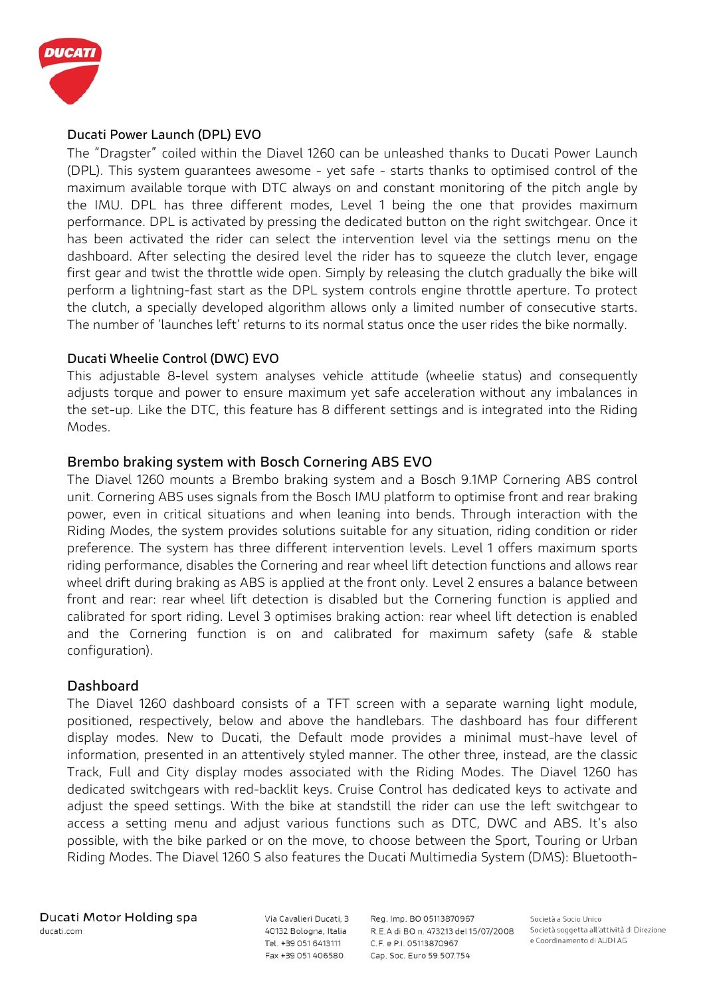

#### **Ducati Power Launch (DPL) EVO**

The "Dragster" coiled within the Diavel 1260 can be unleashed thanks to Ducati Power Launch (DPL). This system guarantees awesome - yet safe - starts thanks to optimised control of the maximum available torque with DTC always on and constant monitoring of the pitch angle by the IMU. DPL has three different modes, Level 1 being the one that provides maximum performance. DPL is activated by pressing the dedicated button on the right switchgear. Once it has been activated the rider can select the intervention level via the settings menu on the dashboard. After selecting the desired level the rider has to squeeze the clutch lever, engage first gear and twist the throttle wide open. Simply by releasing the clutch gradually the bike will perform a lightning-fast start as the DPL system controls engine throttle aperture. To protect the clutch, a specially developed algorithm allows only a limited number of consecutive starts. The number of 'launches left' returns to its normal status once the user rides the bike normally.

#### **Ducati Wheelie Control (DWC) EVO**

This adjustable 8-level system analyses vehicle attitude (wheelie status) and consequently adjusts torque and power to ensure maximum yet safe acceleration without any imbalances in the set-up. Like the DTC, this feature has 8 different settings and is integrated into the Riding Modes.

### **Brembo braking system with Bosch Cornering ABS EVO**

The Diavel 1260 mounts a Brembo braking system and a Bosch 9.1MP Cornering ABS control unit. Cornering ABS uses signals from the Bosch IMU platform to optimise front and rear braking power, even in critical situations and when leaning into bends. Through interaction with the Riding Modes, the system provides solutions suitable for any situation, riding condition or rider preference. The system has three different intervention levels. Level 1 offers maximum sports riding performance, disables the Cornering and rear wheel lift detection functions and allows rear wheel drift during braking as ABS is applied at the front only. Level 2 ensures a balance between front and rear: rear wheel lift detection is disabled but the Cornering function is applied and calibrated for sport riding. Level 3 optimises braking action: rear wheel lift detection is enabled and the Cornering function is on and calibrated for maximum safety (safe & stable configuration).

### **Dashboard**

The Diavel 1260 dashboard consists of a TFT screen with a separate warning light module, positioned, respectively, below and above the handlebars. The dashboard has four different display modes. New to Ducati, the Default mode provides a minimal must-have level of information, presented in an attentively styled manner. The other three, instead, are the classic Track, Full and City display modes associated with the Riding Modes. The Diavel 1260 has dedicated switchgears with red-backlit keys. Cruise Control has dedicated keys to activate and adjust the speed settings. With the bike at standstill the rider can use the left switchgear to access a setting menu and adjust various functions such as DTC, DWC and ABS. It's also possible, with the bike parked or on the move, to choose between the Sport, Touring or Urban Riding Modes. The Diavel 1260 S also features the Ducati Multimedia System (DMS): Bluetooth-

Via Cavalieri Ducati, 3 40132 Bologna, Italia Tel. +39 051 6413111 Fax +39 051 406580

Reg. Imp. BO 05113870967 R.E.A di BO n. 473213 del 15/07/2008 C.F. e P.I. 05113870967 Cap. Soc. Euro 59.507.754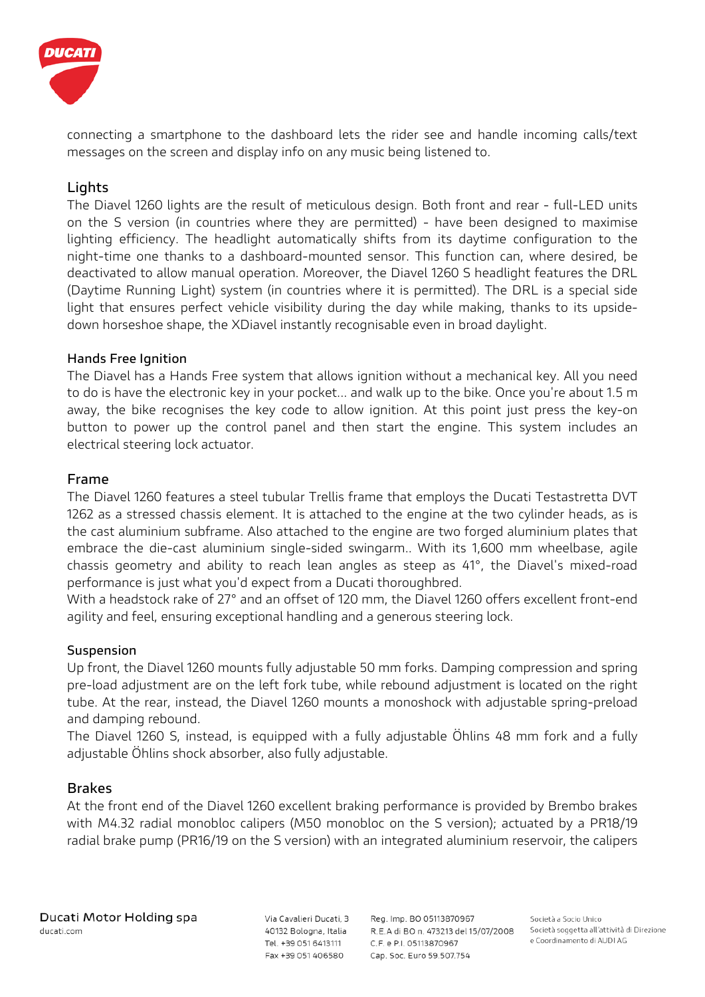

connecting a smartphone to the dashboard lets the rider see and handle incoming calls/text messages on the screen and display info on any music being listened to.

# **Lights**

The Diavel 1260 lights are the result of meticulous design. Both front and rear - full-LED units on the S version (in countries where they are permitted) - have been designed to maximise lighting efficiency. The headlight automatically shifts from its daytime configuration to the night-time one thanks to a dashboard-mounted sensor. This function can, where desired, be deactivated to allow manual operation. Moreover, the Diavel 1260 S headlight features the DRL (Daytime Running Light) system (in countries where it is permitted). The DRL is a special side light that ensures perfect vehicle visibility during the day while making, thanks to its upsidedown horseshoe shape, the XDiavel instantly recognisable even in broad daylight.

#### **Hands Free Ignition**

The Diavel has a Hands Free system that allows ignition without a mechanical key. All you need to do is have the electronic key in your pocket... and walk up to the bike. Once you're about 1.5 m away, the bike recognises the key code to allow ignition. At this point just press the key-on button to power up the control panel and then start the engine. This system includes an electrical steering lock actuator.

#### **Frame**

The Diavel 1260 features a steel tubular Trellis frame that employs the Ducati Testastretta DVT 1262 as a stressed chassis element. It is attached to the engine at the two cylinder heads, as is the cast aluminium subframe. Also attached to the engine are two forged aluminium plates that embrace the die-cast aluminium single-sided swingarm.. With its 1,600 mm wheelbase, agile chassis geometry and ability to reach lean angles as steep as 41°, the Diavel's mixed-road performance is just what you'd expect from a Ducati thoroughbred.

With a headstock rake of 27° and an offset of 120 mm, the Diavel 1260 offers excellent front-end agility and feel, ensuring exceptional handling and a generous steering lock.

#### **Suspension**

Up front, the Diavel 1260 mounts fully adjustable 50 mm forks. Damping compression and spring pre-load adjustment are on the left fork tube, while rebound adjustment is located on the right tube. At the rear, instead, the Diavel 1260 mounts a monoshock with adjustable spring-preload and damping rebound.

The Diavel 1260 S, instead, is equipped with a fully adjustable Öhlins 48 mm fork and a fully adjustable Öhlins shock absorber, also fully adjustable.

### **Brakes**

At the front end of the Diavel 1260 excellent braking performance is provided by Brembo brakes with M4.32 radial monobloc calipers (M50 monobloc on the S version); actuated by a PR18/19 radial brake pump (PR16/19 on the S version) with an integrated aluminium reservoir, the calipers

Via Cavalieri Ducati, 3 40132 Bologna, Italia Tel. +39 051 6413111 Fax +39 051 406580

Reg. Imp. BO 05113870967 R.E.A di BO n. 473213 del 15/07/2008 C.F. e P.I. 05113870967 Cap. Soc. Euro 59.507.754